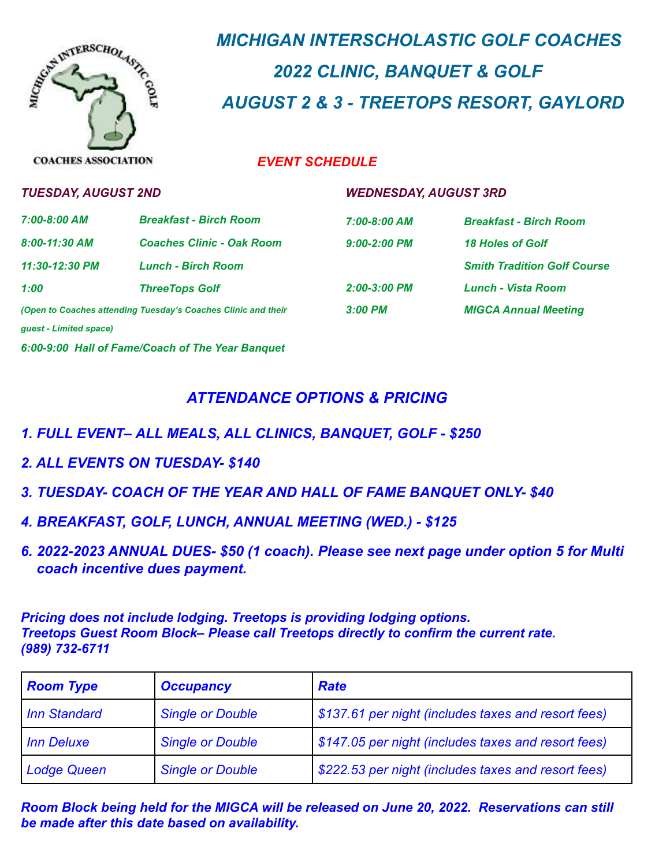

# *MICHIGAN INTERSCHOLASTIC GOLF COACHES 2022 CLINIC, BANQUET & GOLF AUGUST 2 & 3 - TREETOPS RESORT, GAYLORD*

### *EVENT SCHEDULE*

| <b>TUESDAY, AUGUST 2ND</b>                                    |                                                  | <b>WEDNESDAY, AUGUST 3RD</b> |                                    |
|---------------------------------------------------------------|--------------------------------------------------|------------------------------|------------------------------------|
| 7:00-8:00 AM                                                  | <b>Breakfast - Birch Room</b>                    | 7:00-8:00 AM                 | <b>Breakfast - Birch Room</b>      |
| $8:00-11:30$ AM                                               | <b>Coaches Clinic - Oak Room</b>                 | $9:00 - 2:00$ PM             | 18 Holes of Golf                   |
| 11:30-12:30 PM                                                | <b>Lunch - Birch Room</b>                        |                              | <b>Smith Tradition Golf Course</b> |
| 1:00                                                          | <b>ThreeTops Golf</b>                            | 2:00-3:00 PM                 | <b>Lunch - Vista Room</b>          |
| (Open to Coaches attending Tuesday's Coaches Clinic and their |                                                  | $3:00$ PM                    | <b>MIGCA Annual Meeting</b>        |
| quest - Limited space)                                        |                                                  |                              |                                    |
|                                                               | 6:00-9:00 Hall of Fame/Coach of The Year Banquet |                              |                                    |

## *ATTENDANCE OPTIONS & PRICING*

- *1. FULL EVENT– ALL MEALS, ALL CLINICS, BANQUET, GOLF - \$250*
- *2. ALL EVENTS ON TUESDAY- \$140*
- *3. TUESDAY- COACH OF THE YEAR AND HALL OF FAME BANQUET ONLY- \$40*
- *4. BREAKFAST, GOLF, LUNCH, ANNUAL MEETING (WED.) - \$125*
- *6. 2022-2023 ANNUAL DUES- \$50 (1 coach). Please see next page under option 5 for Multi coach incentive dues payment.*

*Pricing does not include lodging. Treetops is providing lodging options. Treetops Guest Room Block– Please call Treetops directly to confirm the current rate. (989) 732-6711*

| <b>Room Type</b>   | <b>Occupancy</b>        | <b>Rate</b>                                         |
|--------------------|-------------------------|-----------------------------------------------------|
| Inn Standard       | <b>Single or Double</b> | \$137.61 per night (includes taxes and resort fees) |
| Inn Deluxe         | <b>Single or Double</b> | \$147.05 per night (includes taxes and resort fees) |
| <b>Lodge Queen</b> | <b>Single or Double</b> | \$222.53 per night (includes taxes and resort fees) |

*Room Block being held for the MIGCA will be released on June 20, 2022. Reservations can still be made after this date based on availability.*